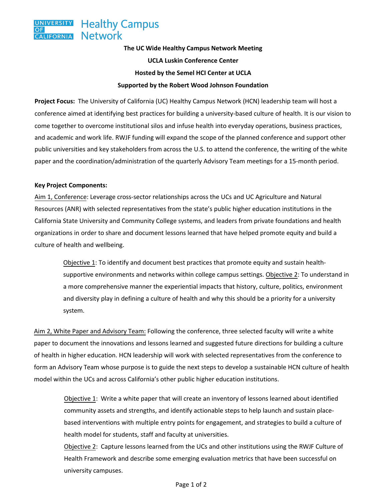## **The UC Wide Healthy Campus Network Meeting UCLA Luskin Conference Center Hosted by the Semel HCI Center at UCLA Supported by the Robert Wood Johnson Foundation**

**Project Focus:** The University of California (UC) Healthy Campus Network (HCN) leadership team will host a conference aimed at identifying best practices for building a university-based culture of health. It is our vision to come together to overcome institutional silos and infuse health into everyday operations, business practices, and academic and work life. RWJF funding will expand the scope of the planned conference and support other public universities and key stakeholders from across the U.S. to attend the conference, the writing of the white paper and the coordination/administration of the quarterly Advisory Team meetings for a 15-month period.

## **Key Project Components:**

Aim 1, Conference: Leverage cross-sector relationships across the UCs and UC Agriculture and Natural Resources (ANR) with selected representatives from the state's public higher education institutions in the California State University and Community College systems, and leaders from private foundations and health organizations in order to share and document lessons learned that have helped promote equity and build a culture of health and wellbeing.

Objective 1: To identify and document best practices that promote equity and sustain healthsupportive environments and networks within college campus settings. Objective 2: To understand in a more comprehensive manner the experiential impacts that history, culture, politics, environment and diversity play in defining a culture of health and why this should be a priority for a university system.

Aim 2, White Paper and Advisory Team: Following the conference, three selected faculty will write a white paper to document the innovations and lessons learned and suggested future directions for building a culture of health in higher education. HCN leadership will work with selected representatives from the conference to form an Advisory Team whose purpose is to guide the next steps to develop a sustainable HCN culture of health model within the UCs and across California's other public higher education institutions.

Objective 1: Write a white paper that will create an inventory of lessons learned about identified community assets and strengths, and identify actionable steps to help launch and sustain placebased interventions with multiple entry points for engagement, and strategies to build a culture of health model for students, staff and faculty at universities.

Objective 2: Capture lessons learned from the UCs and other institutions using the RWJF Culture of Health Framework and describe some emerging evaluation metrics that have been successful on university campuses.